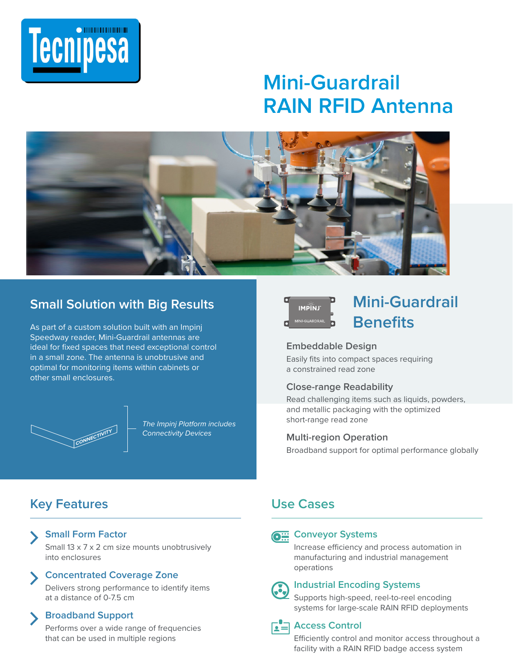

# **Mini-Guardrail RAIN RFID Antenna**



# **Small Solution with Big Results**

As part of a custom solution built with an Impinj Speedway reader, Mini-Guardrail antennas are ideal for fixed spaces that need exceptional control in a small zone. The antenna is unobtrusive and optimal for monitoring items within cabinets or other small enclosures.



*The Impinj Platform includes Connectivity Devices*



# **Mini-Guardrail Benefits**

### **Embeddable Design**

Easily fits into compact spaces requiring a constrained read zone

#### **Close-range Readability**

Read challenging items such as liquids, powders, and metallic packaging with the optimized short-range read zone

#### **Multi-region Operation**

Broadband support for optimal performance globally

# **Key Features**

## **Small Form Factor**

Small 13 x 7 x 2 cm size mounts unobtrusively into enclosures

### **Concentrated Coverage Zone**

Delivers strong performance to identify items at a distance of 0-7.5 cm

### **Broadband Support**

Performs over a wide range of frequencies that can be used in multiple regions

# **Use Cases**



## **Conveyor Systems**

Increase efficiency and process automation in manufacturing and industrial management operations

**Industrial Encoding Systems**

Supports high-speed, reel-to-reel encoding systems for large-scale RAIN RFID deployments

#### **CEI Access Control**

Efficiently control and monitor access throughout a facility with a RAIN RFID badge access system